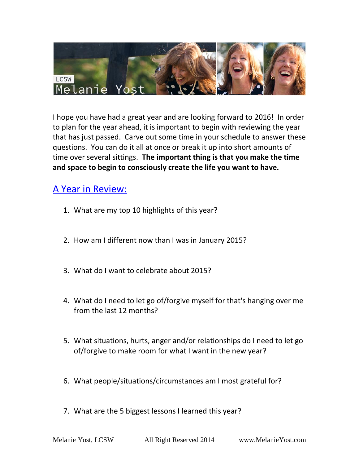

I hope you have had a great year and are looking forward to 2016! In order to plan for the year ahead, it is important to begin with reviewing the year that has just passed. Carve out some time in your schedule to answer these questions. You can do it all at once or break it up into short amounts of time over several sittings. **The important thing is that you make the time and space to begin to consciously create the life you want to have.** 

## A Year in Review:

- 1. What are my top 10 highlights of this year?
- 2. How am I different now than I was in January 2015?
- 3. What do I want to celebrate about 2015?
- 4. What do I need to let go of/forgive myself for that's hanging over me from the last 12 months?
- 5. What situations, hurts, anger and/or relationships do I need to let go of/forgive to make room for what I want in the new year?
- 6. What people/situations/circumstances am I most grateful for?
- 7. What are the 5 biggest lessons I learned this year?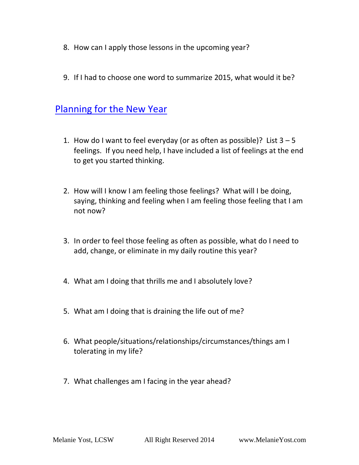- 8. How can I apply those lessons in the upcoming year?
- 9. If I had to choose one word to summarize 2015, what would it be?

## Planning for the New Year

- 1. How do I want to feel everyday (or as often as possible)? List  $3 5$ feelings. If you need help, I have included a list of feelings at the end to get you started thinking.
- 2. How will I know I am feeling those feelings? What will I be doing, saying, thinking and feeling when I am feeling those feeling that I am not now?
- 3. In order to feel those feeling as often as possible, what do I need to add, change, or eliminate in my daily routine this year?
- 4. What am I doing that thrills me and I absolutely love?
- 5. What am I doing that is draining the life out of me?
- 6. What people/situations/relationships/circumstances/things am I tolerating in my life?
- 7. What challenges am I facing in the year ahead?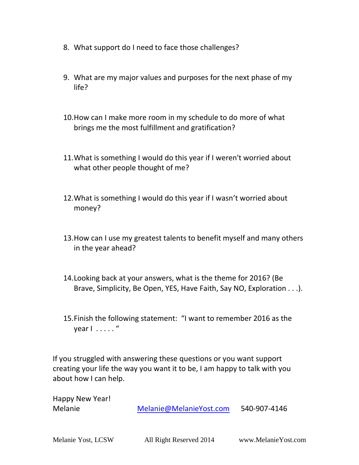- 8. What support do I need to face those challenges?
- 9. What are my major values and purposes for the next phase of my life?
- 10.How can I make more room in my schedule to do more of what brings me the most fulfillment and gratification?
- 11.What is something I would do this year if I weren't worried about what other people thought of me?
- 12.What is something I would do this year if I wasn't worried about money?
- 13.How can I use my greatest talents to benefit myself and many others in the year ahead?
- 14.Looking back at your answers, what is the theme for 2016? (Be Brave, Simplicity, Be Open, YES, Have Faith, Say NO, Exploration . . .).
- 15.Finish the following statement: "I want to remember 2016 as the year I . . . . . "

If you struggled with answering these questions or you want support creating your life the way you want it to be, I am happy to talk with you about how I can help.

Happy New Year!

Melanie [Melanie@MelanieYost.com](mailto:Melanie@MelanieYost.com) 540-907-4146